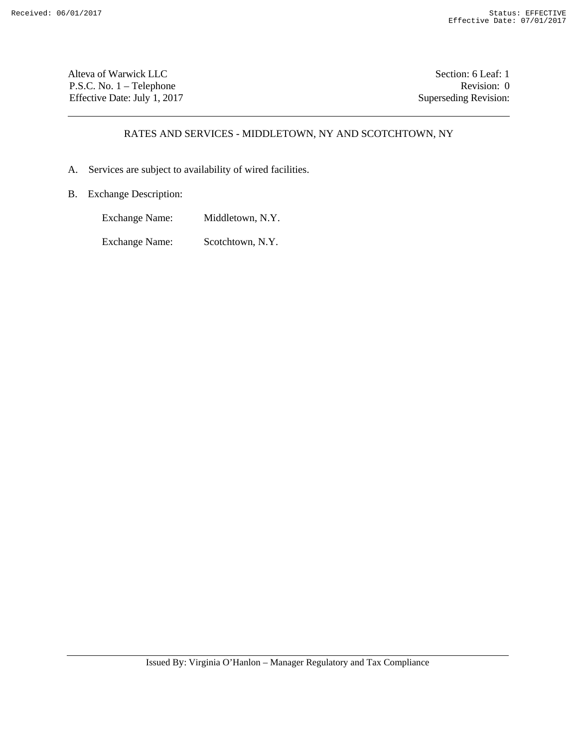Alteva of Warwick LLC Section: 6 Leaf: 1 P.S.C. No. 1 – Telephone Revision: 0 Effective Date: July 1, 2017 Superseding Revision:

# RATES AND SERVICES - MIDDLETOWN, NY AND SCOTCHTOWN, NY

- A. Services are subject to availability of wired facilities.
- B. Exchange Description:
	- Exchange Name: Middletown, N.Y.

Exchange Name: Scotchtown, N.Y.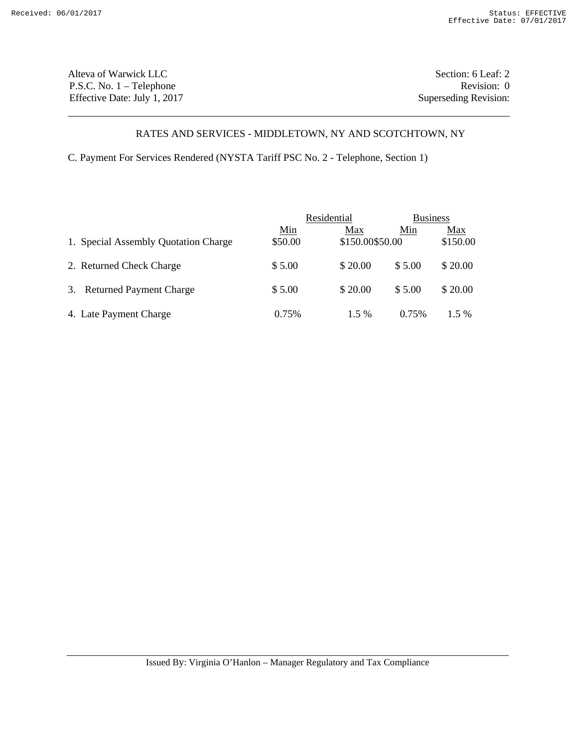Alteva of Warwick LLC Section: 6 Leaf: 2 P.S.C. No. 1 – Telephone Revision: 0 Effective Date: July 1, 2017 Superseding Revision:

# RATES AND SERVICES - MIDDLETOWN, NY AND SCOTCHTOWN, NY

C. Payment For Services Rendered (NYSTA Tariff PSC No. 2 - Telephone, Section 1)

|                                      |                       | Residential            |        | <b>Business</b> |  |  |
|--------------------------------------|-----------------------|------------------------|--------|-----------------|--|--|
| 1. Special Assembly Quotation Charge | <u>Min</u><br>\$50.00 | Max<br>\$150.00\$50.00 | Min    | Max<br>\$150.00 |  |  |
| 2. Returned Check Charge             | \$5.00                | \$20.00                | \$5.00 | \$20.00         |  |  |
| 3. Returned Payment Charge           | \$5.00                | \$20.00                | \$5.00 | \$20.00         |  |  |
| 4. Late Payment Charge               | 0.75%                 | $1.5\%$                | 0.75%  | $1.5\%$         |  |  |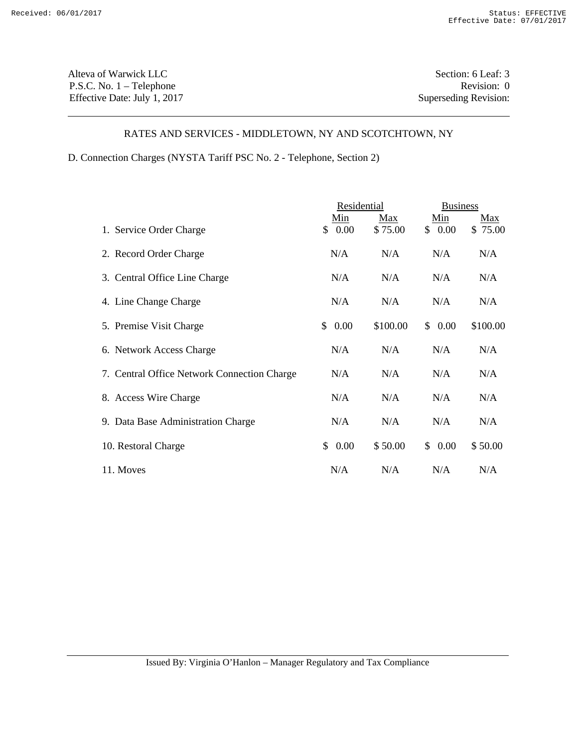Alteva of Warwick LLC Section: 6 Leaf: 3 P.S.C. No. 1 – Telephone Revision: 0 Effective Date: July 1, 2017 Superseding Revision:

# RATES AND SERVICES - MIDDLETOWN, NY AND SCOTCHTOWN, NY

D. Connection Charges (NYSTA Tariff PSC No. 2 - Telephone, Section 2)

|                                             | Residential   |                | <b>Business</b> |                |
|---------------------------------------------|---------------|----------------|-----------------|----------------|
| 1. Service Order Charge                     | Min<br>\$0.00 | Max<br>\$75.00 | Min<br>\$0.00   | Max<br>\$75.00 |
| 2. Record Order Charge                      | N/A           | N/A            | N/A             | N/A            |
| 3. Central Office Line Charge               | N/A           | N/A            | N/A             | N/A            |
| 4. Line Change Charge                       | N/A           | N/A            | N/A             | N/A            |
| 5. Premise Visit Charge                     | 0.00<br>\$    | \$100.00       | \$0.00          | \$100.00       |
| 6. Network Access Charge                    | N/A           | N/A            | N/A             | N/A            |
| 7. Central Office Network Connection Charge | N/A           | N/A            | N/A             | N/A            |
| 8. Access Wire Charge                       | N/A           | N/A            | N/A             | N/A            |
| 9. Data Base Administration Charge          | N/A           | N/A            | N/A             | N/A            |
| 10. Restoral Charge                         | \$<br>0.00    | \$50.00        | \$0.00          | \$50.00        |
| 11. Moves                                   | N/A           | N/A            | N/A             | N/A            |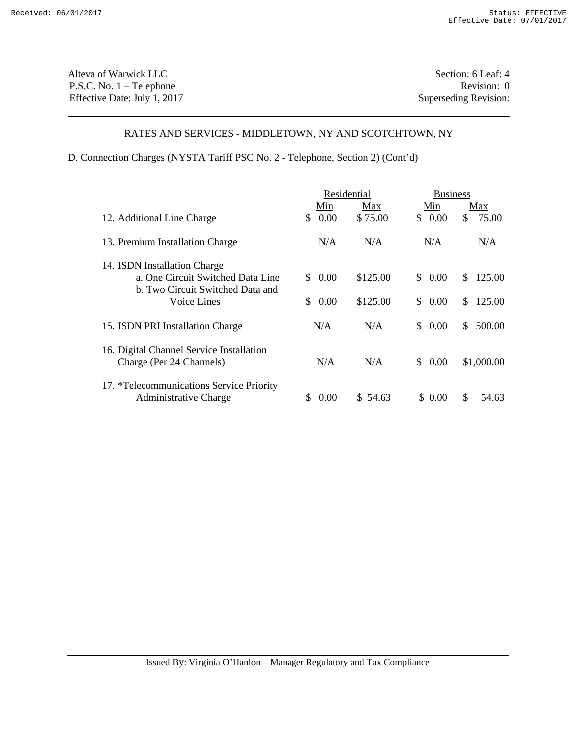Alteva of Warwick LLC Section: 6 Leaf: 4 P.S.C. No. 1 – Telephone Revision: 0 Effective Date: July 1, 2017 Superseding Revision:

#### RATES AND SERVICES - MIDDLETOWN, NY AND SCOTCHTOWN, NY

D. Connection Charges (NYSTA Tariff PSC No. 2 - Telephone, Section 2) (Cont'd)

|                                                                       |            | Residential |                | <b>Business</b> |  |  |
|-----------------------------------------------------------------------|------------|-------------|----------------|-----------------|--|--|
|                                                                       | Min        | Max         | Min            | Max             |  |  |
| 12. Additional Line Charge                                            | 0.00<br>\$ | \$75.00     | 0.00<br>\$.    | 75.00<br>\$     |  |  |
| 13. Premium Installation Charge                                       | N/A        | N/A         | N/A            | N/A             |  |  |
| 14. ISDN Installation Charge                                          |            |             |                |                 |  |  |
| a. One Circuit Switched Data Line<br>b. Two Circuit Switched Data and | 0.00<br>S. | \$125.00    | $0.00\,$<br>\$ | \$.<br>125.00   |  |  |
| Voice Lines                                                           | 0.00<br>S. | \$125.00    | \$<br>$0.00\,$ | \$.<br>125.00   |  |  |
| 15. ISDN PRI Installation Charge                                      | N/A        | N/A         | 0.00<br>\$.    | \$<br>500.00    |  |  |
| 16. Digital Channel Service Installation<br>Charge (Per 24 Channels)  | N/A        | N/A         | $0.00\,$<br>S. | \$1,000.00      |  |  |
| 17. *Telecommunications Service Priority<br>Administrative Charge     | 0.00       | \$54.63     | \$ 0.00        | \$.<br>54.63    |  |  |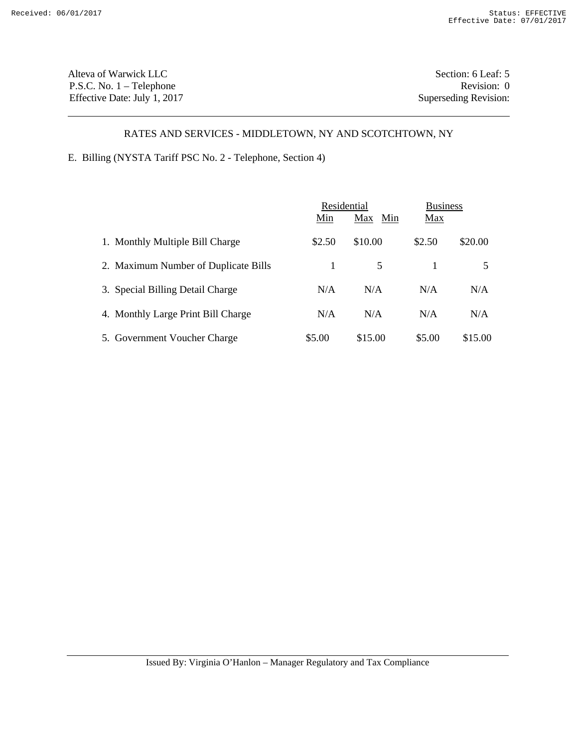Alteva of Warwick LLC Section: 6 Leaf: 5 P.S.C. No. 1 – Telephone Revision: 0 Effective Date: July 1, 2017 Superseding Revision:

# RATES AND SERVICES - MIDDLETOWN, NY AND SCOTCHTOWN, NY

E. Billing (NYSTA Tariff PSC No. 2 - Telephone, Section 4)

|                                      |        | Residential |        | <b>Business</b> |
|--------------------------------------|--------|-------------|--------|-----------------|
|                                      | Min    | Max Min     | Max    |                 |
| 1. Monthly Multiple Bill Charge      | \$2.50 | \$10.00     | \$2.50 | \$20.00         |
| 2. Maximum Number of Duplicate Bills | 1      | 5           |        |                 |
| 3. Special Billing Detail Charge     | N/A    | N/A         | N/A    | N/A             |
| 4. Monthly Large Print Bill Charge   | N/A    | N/A         | N/A    | N/A             |
| 5. Government Voucher Charge         | \$5.00 | \$15.00     | \$5.00 | \$15.00         |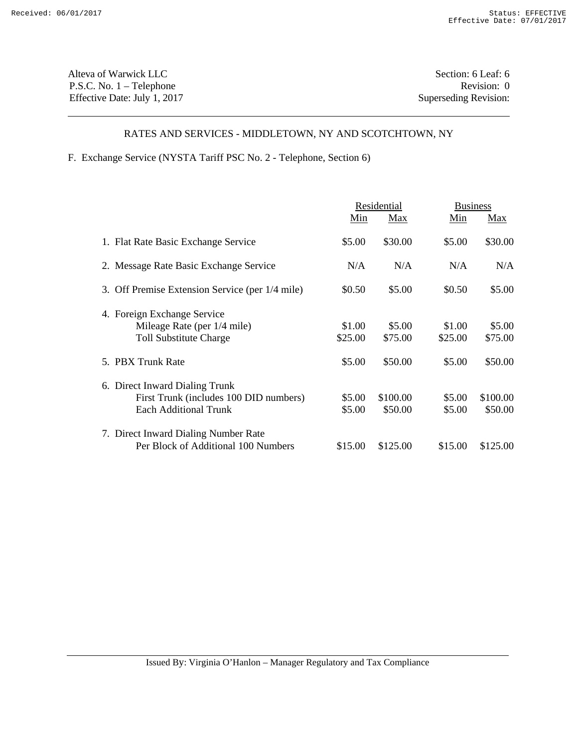Alteva of Warwick LLC Section: 6 Leaf: 6 P.S.C. No. 1 – Telephone Revision: 0 Effective Date: July 1, 2017 Superseding Revision:

# RATES AND SERVICES - MIDDLETOWN, NY AND SCOTCHTOWN, NY

F. Exchange Service (NYSTA Tariff PSC No. 2 - Telephone, Section 6)

|                                                                                                          |                   | Residential         |                   | <b>Business</b>     |  |
|----------------------------------------------------------------------------------------------------------|-------------------|---------------------|-------------------|---------------------|--|
|                                                                                                          | Min               | Max                 | Min               | Max                 |  |
| 1. Flat Rate Basic Exchange Service                                                                      | \$5.00            | \$30.00             | \$5.00            | \$30.00             |  |
| 2. Message Rate Basic Exchange Service                                                                   | N/A               | N/A                 | N/A               | N/A                 |  |
| 3. Off Premise Extension Service (per 1/4 mile)                                                          | \$0.50            | \$5.00              | \$0.50            | \$5.00              |  |
| 4. Foreign Exchange Service<br>Mileage Rate (per 1/4 mile)<br><b>Toll Substitute Charge</b>              | \$1.00<br>\$25.00 | \$5.00<br>\$75.00   | \$1.00<br>\$25.00 | \$5.00<br>\$75.00   |  |
| 5. PBX Trunk Rate                                                                                        | \$5.00            | \$50.00             | \$5.00            | \$50.00             |  |
| 6. Direct Inward Dialing Trunk<br>First Trunk (includes 100 DID numbers)<br><b>Each Additional Trunk</b> | \$5.00<br>\$5.00  | \$100.00<br>\$50.00 | \$5.00<br>\$5.00  | \$100.00<br>\$50.00 |  |
| 7. Direct Inward Dialing Number Rate<br>Per Block of Additional 100 Numbers                              | \$15.00           | \$125.00            | \$15.00           | \$125.00            |  |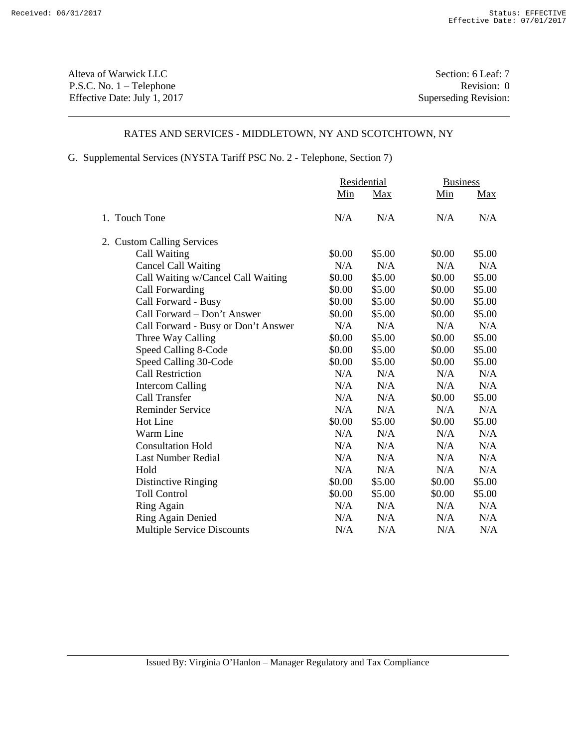Alteva of Warwick LLC Section: 6 Leaf: 7 P.S.C. No. 1 – Telephone Revision: 0 Effective Date: July 1, 2017 Superseding Revision:

#### RATES AND SERVICES - MIDDLETOWN, NY AND SCOTCHTOWN, NY

G. Supplemental Services (NYSTA Tariff PSC No. 2 - Telephone, Section 7)

|                                     | Residential |            | <b>Business</b> |            |
|-------------------------------------|-------------|------------|-----------------|------------|
|                                     | Min         | <u>Max</u> | Min             | <u>Max</u> |
| 1. Touch Tone                       | N/A         | N/A        | N/A             | N/A        |
| 2. Custom Calling Services          |             |            |                 |            |
| Call Waiting                        | \$0.00      | \$5.00     | \$0.00          | \$5.00     |
| <b>Cancel Call Waiting</b>          | N/A         | N/A        | N/A             | N/A        |
| Call Waiting w/Cancel Call Waiting  | \$0.00      | \$5.00     | \$0.00          | \$5.00     |
| Call Forwarding                     | \$0.00      | \$5.00     | \$0.00          | \$5.00     |
| Call Forward - Busy                 | \$0.00      | \$5.00     | \$0.00          | \$5.00     |
| Call Forward - Don't Answer         | \$0.00      | \$5.00     | \$0.00          | \$5.00     |
| Call Forward - Busy or Don't Answer | N/A         | N/A        | N/A             | N/A        |
| Three Way Calling                   | \$0.00      | \$5.00     | \$0.00          | \$5.00     |
| Speed Calling 8-Code                | \$0.00      | \$5.00     | \$0.00          | \$5.00     |
| Speed Calling 30-Code               | \$0.00      | \$5.00     | \$0.00          | \$5.00     |
| <b>Call Restriction</b>             | N/A         | N/A        | N/A             | N/A        |
| <b>Intercom Calling</b>             | N/A         | N/A        | N/A             | N/A        |
| Call Transfer                       | N/A         | N/A        | \$0.00          | \$5.00     |
| <b>Reminder Service</b>             | N/A         | N/A        | N/A             | N/A        |
| <b>Hot Line</b>                     | \$0.00      | \$5.00     | \$0.00          | \$5.00     |
| Warm Line                           | N/A         | N/A        | N/A             | N/A        |
| <b>Consultation Hold</b>            | N/A         | N/A        | N/A             | N/A        |
| <b>Last Number Redial</b>           | N/A         | N/A        | N/A             | N/A        |
| Hold                                | N/A         | N/A        | N/A             | N/A        |
| <b>Distinctive Ringing</b>          | \$0.00      | \$5.00     | \$0.00          | \$5.00     |
| <b>Toll Control</b>                 | \$0.00      | \$5.00     | \$0.00          | \$5.00     |
| Ring Again                          | N/A         | N/A        | N/A             | N/A        |
| Ring Again Denied                   | N/A         | N/A        | N/A             | N/A        |
| <b>Multiple Service Discounts</b>   | N/A         | N/A        | N/A             | N/A        |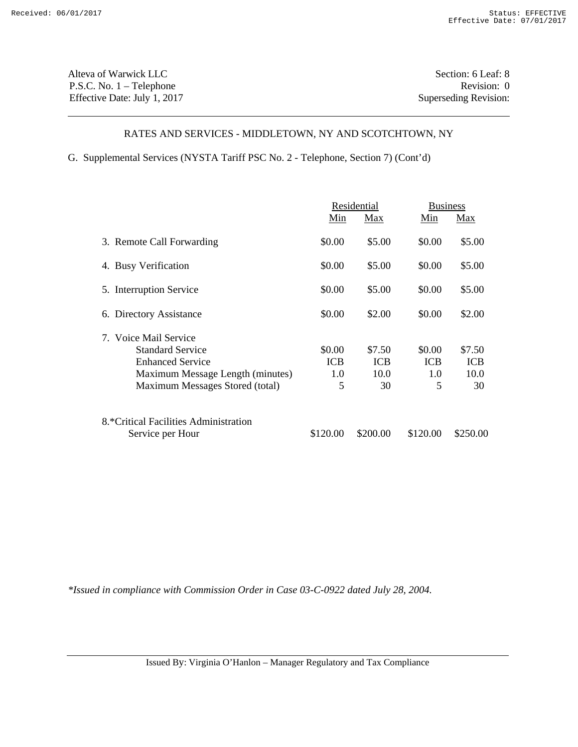Alteva of Warwick LLC Section: 6 Leaf: 8 P.S.C. No. 1 – Telephone Revision: 0 Effective Date: July 1, 2017 Superseding Revision:

#### RATES AND SERVICES - MIDDLETOWN, NY AND SCOTCHTOWN, NY

G. Supplemental Services (NYSTA Tariff PSC No. 2 - Telephone, Section 7) (Cont'd)

|                                       | Residential |            |            | <b>Business</b> |  |
|---------------------------------------|-------------|------------|------------|-----------------|--|
|                                       | Min         | Max        | Min        | Max             |  |
| 3. Remote Call Forwarding             | \$0.00      | \$5.00     | \$0.00     | \$5.00          |  |
| 4. Busy Verification                  | \$0.00      | \$5.00     | \$0.00     | \$5.00          |  |
| 5. Interruption Service               | \$0.00      | \$5.00     | \$0.00     | \$5.00          |  |
| 6. Directory Assistance               | \$0.00      | \$2.00     | \$0.00     | \$2.00          |  |
| 7. Voice Mail Service                 |             |            |            |                 |  |
| <b>Standard Service</b>               | \$0.00      | \$7.50     | \$0.00     | \$7.50          |  |
| <b>Enhanced Service</b>               | <b>ICB</b>  | <b>ICB</b> | <b>ICB</b> | <b>ICB</b>      |  |
| Maximum Message Length (minutes)      | 1.0         | 10.0       | 1.0        | 10.0            |  |
| Maximum Messages Stored (total)       | 5           | 30         | 5          | 30              |  |
| 8.*Critical Facilities Administration |             |            |            |                 |  |
| Service per Hour                      | \$120.00    | \$200.00   | \$120.00   | \$250.00        |  |

*\*Issued in compliance with Commission Order in Case 03-C-0922 dated July 28, 2004.*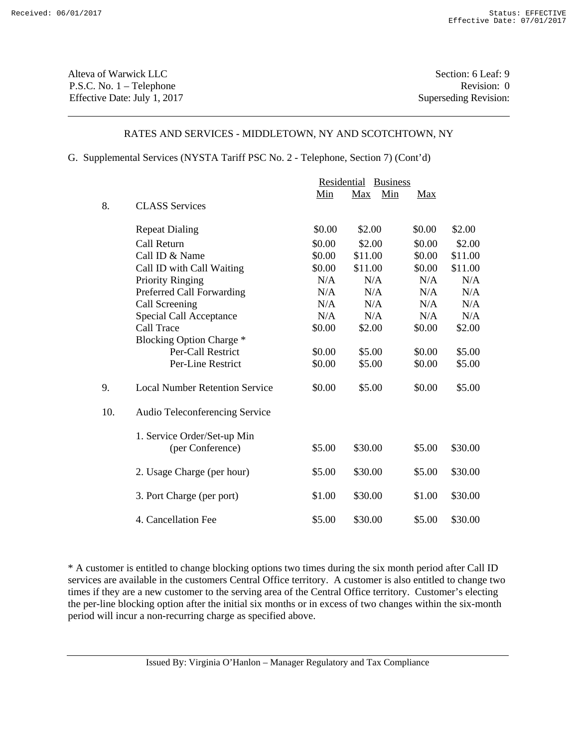Alteva of Warwick LLC Section: 6 Leaf: 9 P.S.C. No. 1 – Telephone Revision: 0 Effective Date: July 1, 2017 Superseding Revision:

# RATES AND SERVICES - MIDDLETOWN, NY AND SCOTCHTOWN, NY

G. Supplemental Services (NYSTA Tariff PSC No. 2 - Telephone, Section 7) (Cont'd)

|     |                                       | Residential<br><b>Business</b> |                   |            |         |
|-----|---------------------------------------|--------------------------------|-------------------|------------|---------|
|     |                                       | Min                            | Min<br><b>Max</b> | <b>Max</b> |         |
| 8.  | <b>CLASS</b> Services                 |                                |                   |            |         |
|     | <b>Repeat Dialing</b>                 | \$0.00                         | \$2.00            | \$0.00     | \$2.00  |
|     | Call Return                           | \$0.00                         | \$2.00            | \$0.00     | \$2.00  |
|     | Call ID & Name                        | \$0.00                         | \$11.00           | \$0.00     | \$11.00 |
|     | Call ID with Call Waiting             | \$0.00                         | \$11.00           | \$0.00     | \$11.00 |
|     | <b>Priority Ringing</b>               | N/A                            | N/A               | N/A        | N/A     |
|     | Preferred Call Forwarding             | N/A                            | N/A               | N/A        | N/A     |
|     | Call Screening                        | N/A                            | N/A               | N/A        | N/A     |
|     | Special Call Acceptance               | N/A                            | N/A               | N/A        | N/A     |
|     | Call Trace                            | \$0.00                         | \$2.00            | \$0.00     | \$2.00  |
|     | <b>Blocking Option Charge *</b>       |                                |                   |            |         |
|     | Per-Call Restrict                     | \$0.00                         | \$5.00            | \$0.00     | \$5.00  |
|     | Per-Line Restrict                     | \$0.00                         | \$5.00            | \$0.00     | \$5.00  |
| 9.  | <b>Local Number Retention Service</b> | \$0.00                         | \$5.00            | \$0.00     | \$5.00  |
| 10. | <b>Audio Teleconferencing Service</b> |                                |                   |            |         |
|     | 1. Service Order/Set-up Min           |                                |                   |            |         |
|     | (per Conference)                      | \$5.00                         | \$30.00           | \$5.00     | \$30.00 |
|     | 2. Usage Charge (per hour)            | \$5.00                         | \$30.00           | \$5.00     | \$30.00 |
|     | 3. Port Charge (per port)             | \$1.00                         | \$30.00           | \$1.00     | \$30.00 |
|     | 4. Cancellation Fee                   | \$5.00                         | \$30.00           | \$5.00     | \$30.00 |

\* A customer is entitled to change blocking options two times during the six month period after Call ID services are available in the customers Central Office territory. A customer is also entitled to change two times if they are a new customer to the serving area of the Central Office territory. Customer's electing the per-line blocking option after the initial six months or in excess of two changes within the six-month period will incur a non-recurring charge as specified above.

Issued By: Virginia O'Hanlon – Manager Regulatory and Tax Compliance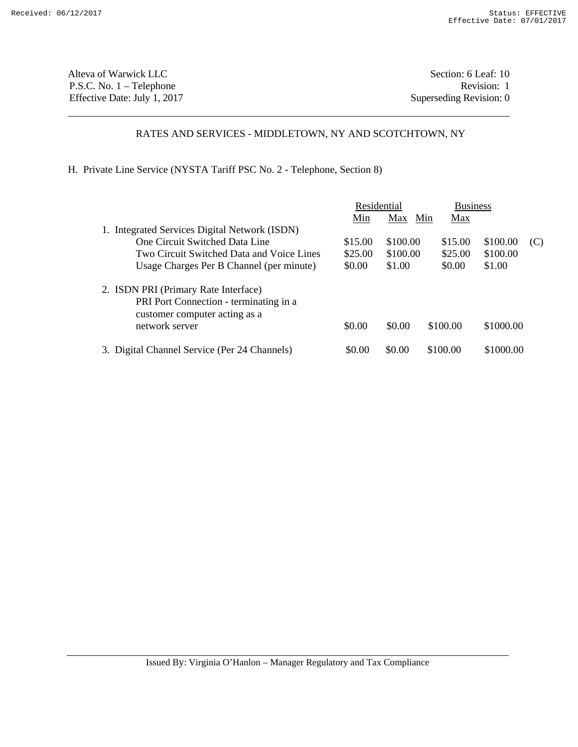Alteva of Warwick LLC Section: 6 Leaf: 10 P.S.C. No. 1 – Telephone Revision: 1 Effective Date: July 1, 2017 Superseding Revision: 0

# RATES AND SERVICES - MIDDLETOWN, NY AND SCOTCHTOWN, NY

H. Private Line Service (NYSTA Tariff PSC No. 2 - Telephone, Section 8)

|                                               | Residential |            |          | <b>Business</b> |     |
|-----------------------------------------------|-------------|------------|----------|-----------------|-----|
|                                               | Min         | Max<br>Min | Max      |                 |     |
| 1. Integrated Services Digital Network (ISDN) |             |            |          |                 |     |
| One Circuit Switched Data Line                | \$15.00     | \$100.00   | \$15.00  | \$100.00        | (C) |
| Two Circuit Switched Data and Voice Lines     | \$25.00     | \$100.00   | \$25.00  | \$100.00        |     |
| Usage Charges Per B Channel (per minute)      | \$0.00      | \$1.00     | \$0.00   | \$1.00          |     |
| 2. ISDN PRI (Primary Rate Interface)          |             |            |          |                 |     |
| PRI Port Connection - terminating in a        |             |            |          |                 |     |
| customer computer acting as a                 |             |            |          |                 |     |
| network server                                | \$0.00      | \$0.00     | \$100.00 | \$1000.00       |     |
| 3. Digital Channel Service (Per 24 Channels)  | \$0.00      | \$0.00     | \$100.00 | \$1000.00       |     |